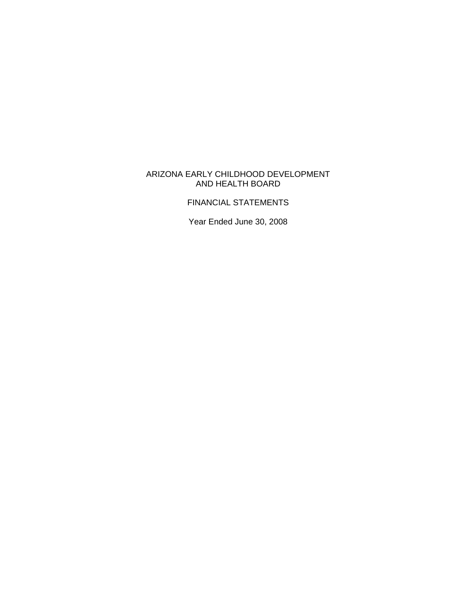## ARIZONA EARLY CHILDHOOD DEVELOPMENT AND HEALTH BOARD

# FINANCIAL STATEMENTS

Year Ended June 30, 2008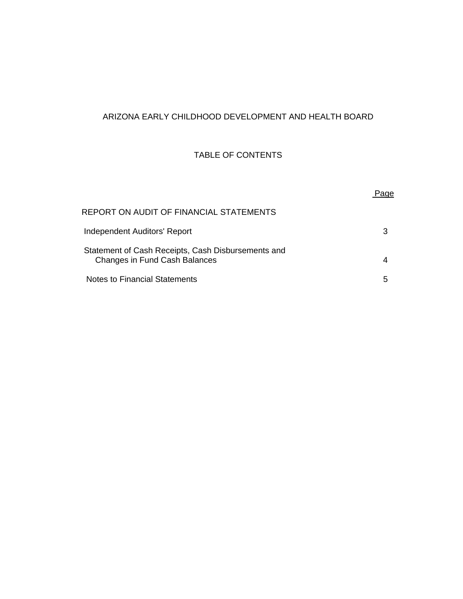# ARIZONA EARLY CHILDHOOD DEVELOPMENT AND HEALTH BOARD

# TABLE OF CONTENTS

| REPORT ON AUDIT OF FINANCIAL STATEMENTS                                             |   |
|-------------------------------------------------------------------------------------|---|
| Independent Auditors' Report                                                        | З |
| Statement of Cash Receipts, Cash Disbursements and<br>Changes in Fund Cash Balances |   |
| Notes to Financial Statements                                                       | 5 |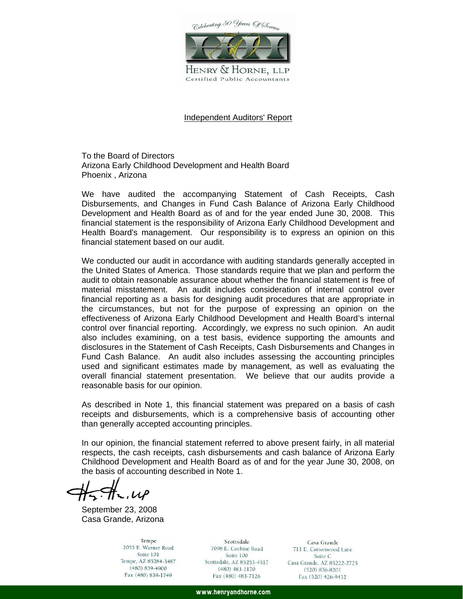Colebrating 50 Years Of Service



HENRY & HORNE, LLP Certified Public Accountants

#### Independent Auditors' Report

To the Board of Directors Arizona Early Childhood Development and Health Board Phoenix , Arizona

We have audited the accompanying Statement of Cash Receipts, Cash Disbursements, and Changes in Fund Cash Balance of Arizona Early Childhood Development and Health Board as of and for the year ended June 30, 2008. This financial statement is the responsibility of Arizona Early Childhood Development and Health Board's management. Our responsibility is to express an opinion on this financial statement based on our audit.

We conducted our audit in accordance with auditing standards generally accepted in the United States of America. Those standards require that we plan and perform the audit to obtain reasonable assurance about whether the financial statement is free of material misstatement. An audit includes consideration of internal control over financial reporting as a basis for designing audit procedures that are appropriate in the circumstances, but not for the purpose of expressing an opinion on the effectiveness of Arizona Early Childhood Development and Health Board's internal control over financial reporting. Accordingly, we express no such opinion. An audit also includes examining, on a test basis, evidence supporting the amounts and disclosures in the Statement of Cash Receipts, Cash Disbursements and Changes in Fund Cash Balance. An audit also includes assessing the accounting principles used and significant estimates made by management, as well as evaluating the overall financial statement presentation. We believe that our audits provide a reasonable basis for our opinion.

As described in Note 1, this financial statement was prepared on a basis of cash receipts and disbursements, which is a comprehensive basis of accounting other than generally accepted accounting principles.

In our opinion, the financial statement referred to above present fairly, in all material respects, the cash receipts, cash disbursements and cash balance of Arizona Early Childhood Development and Health Board as of and for the year June 30, 2008, on the basis of accounting described in Note 1.

 $\tau$ , UP

September 23, 2008 Casa Grande, Arizona

Tempe 2055 E. Warner Road Suite 101 Tempe, AZ 85284-3487 (480) 839-4900 Fax (480) 839-1749

Scottsdale 7098 E. Cochise Road Suite 100 Scottsdale, AZ 85253-4517  $(480)$  483-1170 Fax (480) 483-7126

Casa Grande 711 E. Cottonwood Lane Suite C Casa Grande, AZ 85222-2725  $(520) 836 - 8201$ Fax (520) 426-9432

www.henryandhorne.com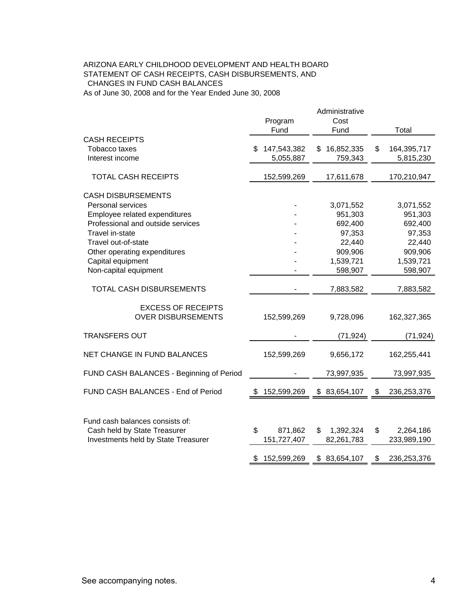#### CHANGES IN FUND CASH BALANCES As of June 30, 2008 and for the Year Ended June 30, 2008 ARIZONA EARLY CHILDHOOD DEVELOPMENT AND HEALTH BOARD STATEMENT OF CASH RECEIPTS, CASH DISBURSEMENTS, AND

|                                                                                                                                                                                                                                                                                                                                           | Program<br>Fund                                   | Administrative<br>Cost<br>Fund                                                                                   | Total                                                                                                              |
|-------------------------------------------------------------------------------------------------------------------------------------------------------------------------------------------------------------------------------------------------------------------------------------------------------------------------------------------|---------------------------------------------------|------------------------------------------------------------------------------------------------------------------|--------------------------------------------------------------------------------------------------------------------|
| <b>CASH RECEIPTS</b><br>Tobacco taxes<br>Interest income                                                                                                                                                                                                                                                                                  | 147,543,382<br>5,055,887                          | 16,852,335<br>\$.<br>759,343                                                                                     | \$<br>164,395,717<br>5,815,230                                                                                     |
| <b>TOTAL CASH RECEIPTS</b>                                                                                                                                                                                                                                                                                                                | 152,599,269                                       | 17,611,678                                                                                                       | 170,210,947                                                                                                        |
| <b>CASH DISBURSEMENTS</b><br>Personal services<br>Employee related expenditures<br>Professional and outside services<br>Travel in-state<br>Travel out-of-state<br>Other operating expenditures<br>Capital equipment<br>Non-capital equipment<br><b>TOTAL CASH DISBURSEMENTS</b><br><b>EXCESS OF RECEIPTS</b><br><b>OVER DISBURSEMENTS</b> | 152,599,269                                       | 3,071,552<br>951,303<br>692,400<br>97,353<br>22,440<br>909,906<br>1,539,721<br>598,907<br>7,883,582<br>9,728,096 | 3,071,552<br>951,303<br>692,400<br>97,353<br>22,440<br>909,906<br>1,539,721<br>598,907<br>7,883,582<br>162,327,365 |
| <b>TRANSFERS OUT</b>                                                                                                                                                                                                                                                                                                                      |                                                   | (71, 924)                                                                                                        | (71, 924)                                                                                                          |
| <b>NET CHANGE IN FUND BALANCES</b><br>FUND CASH BALANCES - Beginning of Period                                                                                                                                                                                                                                                            | 152,599,269                                       | 9,656,172<br>73,997,935                                                                                          | 162,255,441<br>73,997,935                                                                                          |
| FUND CASH BALANCES - End of Period                                                                                                                                                                                                                                                                                                        | 152,599,269                                       | \$83,654,107                                                                                                     | 236, 253, 376<br>\$                                                                                                |
| Fund cash balances consists of:<br>Cash held by State Treasurer<br>Investments held by State Treasurer                                                                                                                                                                                                                                    | \$<br>871,862<br>151,727,407<br>152,599,269<br>\$ | \$<br>1,392,324<br>82,261,783<br>\$83,654,107                                                                    | \$<br>2,264,186<br>233,989,190<br>236,253,376<br>\$                                                                |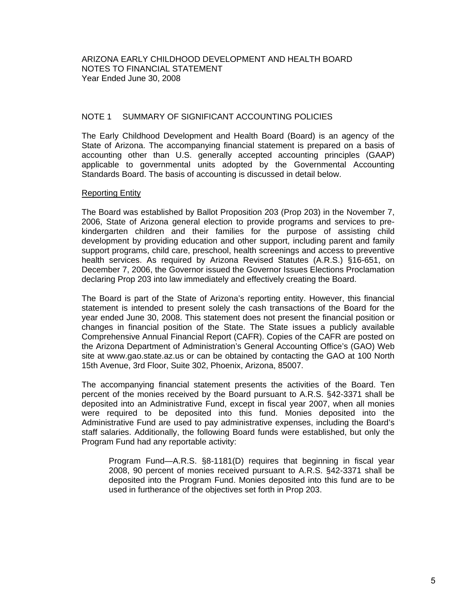### NOTE 1 SUMMARY OF SIGNIFICANT ACCOUNTING POLICIES

The Early Childhood Development and Health Board (Board) is an agency of the State of Arizona. The accompanying financial statement is prepared on a basis of accounting other than U.S. generally accepted accounting principles (GAAP) applicable to governmental units adopted by the Governmental Accounting Standards Board. The basis of accounting is discussed in detail below.

#### Reporting Entity

The Board was established by Ballot Proposition 203 (Prop 203) in the November 7, 2006, State of Arizona general election to provide programs and services to prekindergarten children and their families for the purpose of assisting child development by providing education and other support, including parent and family support programs, child care, preschool, health screenings and access to preventive health services. As required by Arizona Revised Statutes (A.R.S.) §16-651, on December 7, 2006, the Governor issued the Governor Issues Elections Proclamation declaring Prop 203 into law immediately and effectively creating the Board.

The Board is part of the State of Arizona's reporting entity. However, this financial statement is intended to present solely the cash transactions of the Board for the year ended June 30, 2008. This statement does not present the financial position or changes in financial position of the State. The State issues a publicly available Comprehensive Annual Financial Report (CAFR). Copies of the CAFR are posted on the Arizona Department of Administration's General Accounting Office's (GAO) Web site at www.gao.state.az.us or can be obtained by contacting the GAO at 100 North 15th Avenue, 3rd Floor, Suite 302, Phoenix, Arizona, 85007.

The accompanying financial statement presents the activities of the Board. Ten percent of the monies received by the Board pursuant to A.R.S. §42-3371 shall be deposited into an Administrative Fund, except in fiscal year 2007, when all monies were required to be deposited into this fund. Monies deposited into the Administrative Fund are used to pay administrative expenses, including the Board's staff salaries. Additionally, the following Board funds were established, but only the Program Fund had any reportable activity:

Program Fund—A.R.S. §8-1181(D) requires that beginning in fiscal year 2008, 90 percent of monies received pursuant to A.R.S. §42-3371 shall be deposited into the Program Fund. Monies deposited into this fund are to be used in furtherance of the objectives set forth in Prop 203.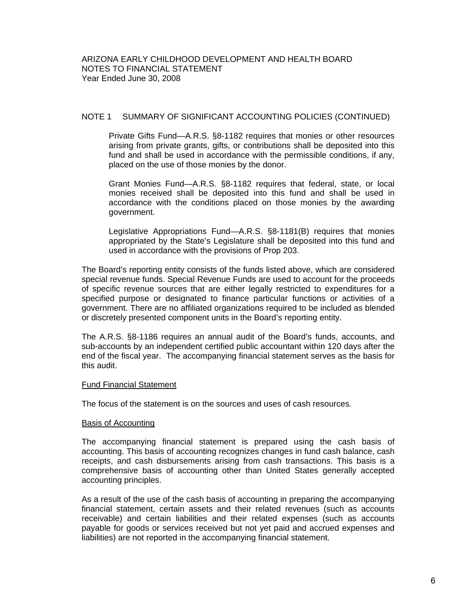## NOTE 1 SUMMARY OF SIGNIFICANT ACCOUNTING POLICIES (CONTINUED)

Private Gifts Fund—A.R.S. §8-1182 requires that monies or other resources arising from private grants, gifts, or contributions shall be deposited into this fund and shall be used in accordance with the permissible conditions, if any, placed on the use of those monies by the donor.

Grant Monies Fund—A.R.S. §8-1182 requires that federal, state, or local monies received shall be deposited into this fund and shall be used in accordance with the conditions placed on those monies by the awarding government.

Legislative Appropriations Fund—A.R.S. §8-1181(B) requires that monies appropriated by the State's Legislature shall be deposited into this fund and used in accordance with the provisions of Prop 203.

The Board's reporting entity consists of the funds listed above, which are considered special revenue funds. Special Revenue Funds are used to account for the proceeds of specific revenue sources that are either legally restricted to expenditures for a specified purpose or designated to finance particular functions or activities of a government. There are no affiliated organizations required to be included as blended or discretely presented component units in the Board's reporting entity.

The A.R.S. §8-1186 requires an annual audit of the Board's funds, accounts, and sub-accounts by an independent certified public accountant within 120 days after the end of the fiscal year. The accompanying financial statement serves as the basis for this audit.

#### Fund Financial Statement

The focus of the statement is on the sources and uses of cash resources.

#### Basis of Accounting

The accompanying financial statement is prepared using the cash basis of accounting. This basis of accounting recognizes changes in fund cash balance, cash receipts, and cash disbursements arising from cash transactions. This basis is a comprehensive basis of accounting other than United States generally accepted accounting principles.

As a result of the use of the cash basis of accounting in preparing the accompanying financial statement, certain assets and their related revenues (such as accounts receivable) and certain liabilities and their related expenses (such as accounts payable for goods or services received but not yet paid and accrued expenses and liabilities) are not reported in the accompanying financial statement.